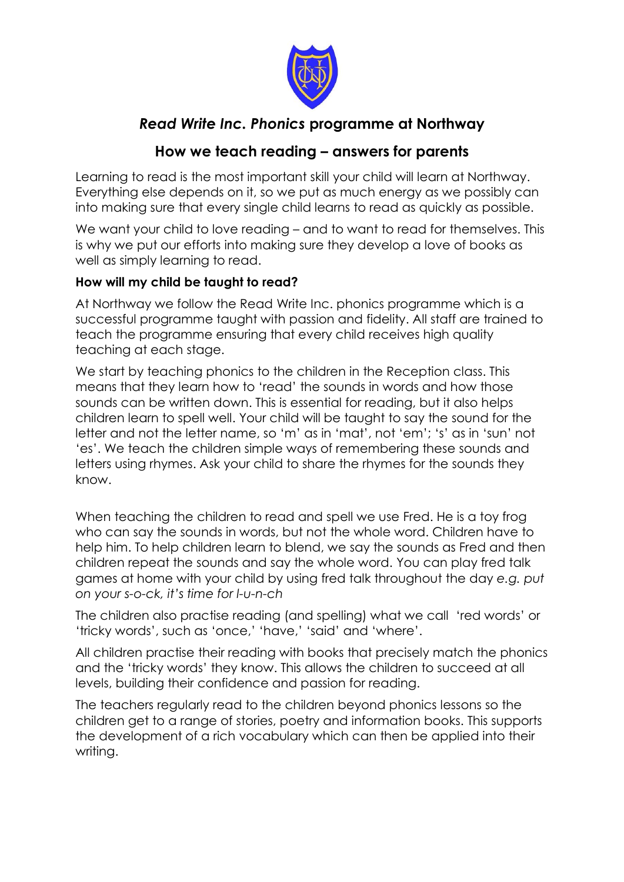

# *Read Write Inc. Phonics* **programme at Northway**

## **How we teach reading – answers for parents**

Learning to read is the most important skill your child will learn at Northway. Everything else depends on it, so we put as much energy as we possibly can into making sure that every single child learns to read as quickly as possible.

We want your child to love reading – and to want to read for themselves. This is why we put our efforts into making sure they develop a love of books as well as simply learning to read.

## **How will my child be taught to read?**

At Northway we follow the Read Write Inc. phonics programme which is a successful programme taught with passion and fidelity. All staff are trained to teach the programme ensuring that every child receives high quality teaching at each stage.

We start by teaching phonics to the children in the Reception class. This means that they learn how to 'read' the sounds in words and how those sounds can be written down. This is essential for reading, but it also helps children learn to spell well. Your child will be taught to say the sound for the letter and not the letter name, so 'm' as in 'mat', not 'em'; 's' as in 'sun' not 'es'. We teach the children simple ways of remembering these sounds and letters using rhymes. Ask your child to share the rhymes for the sounds they know.

When teaching the children to read and spell we use Fred. He is a toy frog who can say the sounds in words, but not the whole word. Children have to help him. To help children learn to blend, we say the sounds as Fred and then children repeat the sounds and say the whole word. You can play fred talk games at home with your child by using fred talk throughout the day *e.g. put on your s-o-ck, it's time for l-u-n-ch*

The children also practise reading (and spelling) what we call 'red words' or 'tricky words', such as 'once,' 'have,' 'said' and 'where'.

All children practise their reading with books that precisely match the phonics and the 'tricky words' they know. This allows the children to succeed at all levels, building their confidence and passion for reading.

The teachers regularly read to the children beyond phonics lessons so the children get to a range of stories, poetry and information books. This supports the development of a rich vocabulary which can then be applied into their writing.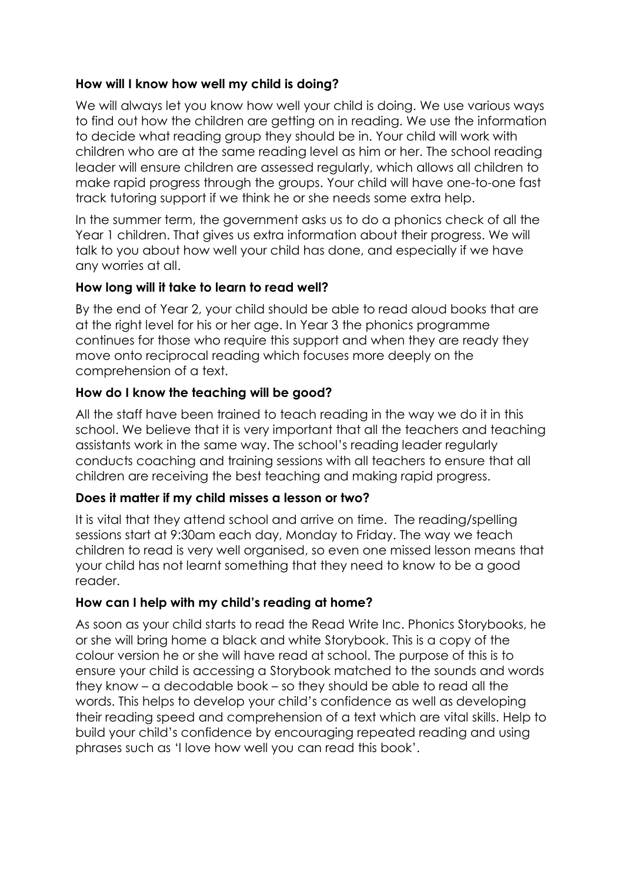## **How will I know how well my child is doing?**

We will always let you know how well your child is doing. We use various ways to find out how the children are getting on in reading. We use the information to decide what reading group they should be in. Your child will work with children who are at the same reading level as him or her. The school reading leader will ensure children are assessed regularly, which allows all children to make rapid progress through the groups. Your child will have one-to-one fast track tutoring support if we think he or she needs some extra help.

In the summer term, the government asks us to do a phonics check of all the Year 1 children. That gives us extra information about their progress. We will talk to you about how well your child has done, and especially if we have any worries at all.

#### **How long will it take to learn to read well?**

By the end of Year 2, your child should be able to read aloud books that are at the right level for his or her age. In Year 3 the phonics programme continues for those who require this support and when they are ready they move onto reciprocal reading which focuses more deeply on the comprehension of a text.

#### **How do I know the teaching will be good?**

All the staff have been trained to teach reading in the way we do it in this school. We believe that it is very important that all the teachers and teaching assistants work in the same way. The school's reading leader regularly conducts coaching and training sessions with all teachers to ensure that all children are receiving the best teaching and making rapid progress.

#### **Does it matter if my child misses a lesson or two?**

It is vital that they attend school and arrive on time. The reading/spelling sessions start at 9:30am each day, Monday to Friday. The way we teach children to read is very well organised, so even one missed lesson means that your child has not learnt something that they need to know to be a good reader.

#### **How can I help with my child's reading at home?**

As soon as your child starts to read the Read Write Inc. Phonics Storybooks, he or she will bring home a black and white Storybook. This is a copy of the colour version he or she will have read at school. The purpose of this is to ensure your child is accessing a Storybook matched to the sounds and words they know – a decodable book – so they should be able to read all the words. This helps to develop your child's confidence as well as developing their reading speed and comprehension of a text which are vital skills. Help to build your child's confidence by encouraging repeated reading and using phrases such as 'I love how well you can read this book'.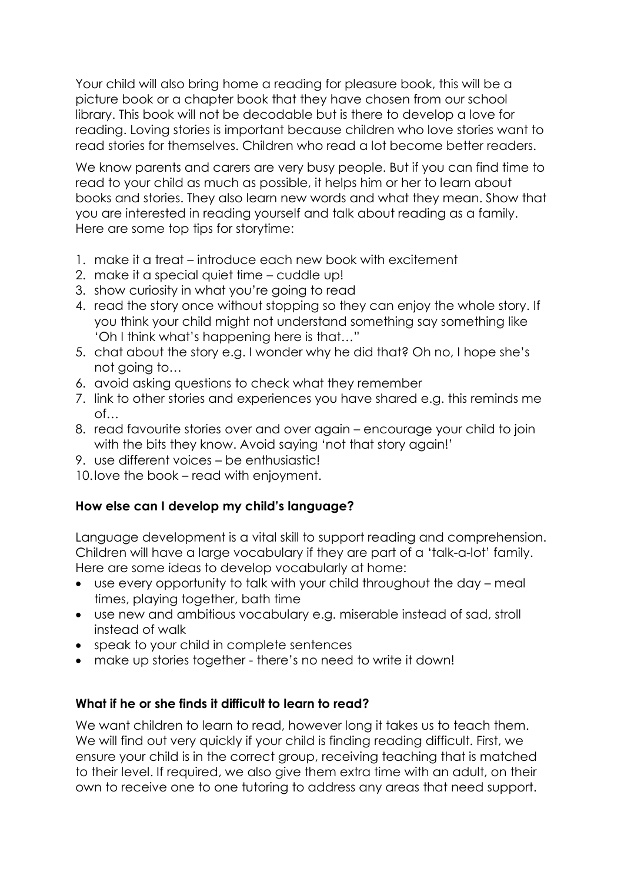Your child will also bring home a reading for pleasure book, this will be a picture book or a chapter book that they have chosen from our school library. This book will not be decodable but is there to develop a love for reading. Loving stories is important because children who love stories want to read stories for themselves. Children who read a lot become better readers.

We know parents and carers are very busy people. But if you can find time to read to your child as much as possible, it helps him or her to learn about books and stories. They also learn new words and what they mean. Show that you are interested in reading yourself and talk about reading as a family. Here are some top tips for storytime:

- 1. make it a treat introduce each new book with excitement
- 2. make it a special quiet time cuddle up!
- 3. show curiosity in what you're going to read
- 4. read the story once without stopping so they can enjoy the whole story. If you think your child might not understand something say something like 'Oh I think what's happening here is that…"
- 5. chat about the story e.g. I wonder why he did that? Oh no, I hope she's not going to…
- 6. avoid asking questions to check what they remember
- 7. link to other stories and experiences you have shared e.g. this reminds me of…
- 8. read favourite stories over and over again encourage your child to join with the bits they know. Avoid saying 'not that story again!'
- 9. use different voices be enthusiastic!
- 10.love the book read with enjoyment.

## **How else can I develop my child's language?**

Language development is a vital skill to support reading and comprehension. Children will have a large vocabulary if they are part of a 'talk-a-lot' family. Here are some ideas to develop vocabularly at home:

- use every opportunity to talk with your child throughout the day meal times, playing together, bath time
- use new and ambitious vocabulary e.g. miserable instead of sad, stroll instead of walk
- speak to your child in complete sentences
- make up stories together there's no need to write it down!

## **What if he or she finds it difficult to learn to read?**

We want children to learn to read, however long it takes us to teach them. We will find out very quickly if your child is finding reading difficult. First, we ensure your child is in the correct group, receiving teaching that is matched to their level. If required, we also give them extra time with an adult, on their own to receive one to one tutoring to address any areas that need support.